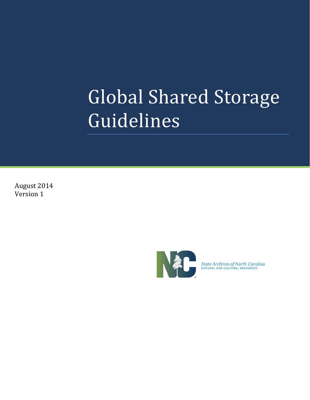August 2014 Version 1



State Archives of North Carolina<br>NATURAL AND CULTURAL RESOURCES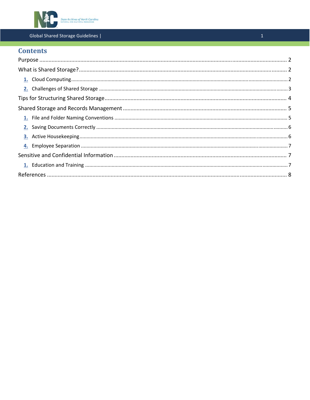

# **Contents**

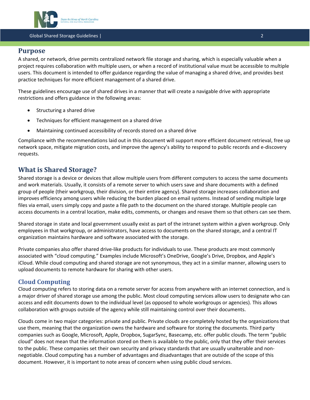

## **Purpose**

A shared, or network, drive permits centralized network file storage and sharing, which is especially valuable when a project requires collaboration with multiple users, or when a record of institutional value must be accessible to multiple users. This document is intended to offer guidance regarding the value of managing a shared drive, and provides best practice techniques for more efficient management of a shared drive.

These guidelines encourage use of shared drives in a manner that will create a navigable drive with appropriate restrictions and offers guidance in the following areas:

- Structuring a shared drive
- Techniques for efficient management on a shared drive
- Maintaining continued accessibility of records stored on a shared drive

Compliance with the recommendations laid out in this document will support more efficient document retrieval, free up network space, mitigate migration costs, and improve the agency's ability to respond to public records and e‐discovery requests.

## **What is Shared Storage?**

Shared storage is a device or devices that allow multiple users from different computers to access the same documents and work materials. Usually, it consists of a remote server to which users save and share documents with a defined group of people (their workgroup, their division, or their entire agency). Shared storage increases collaboration and improves efficiency among users while reducing the burden placed on email systems. Instead of sending multiple large files via email, users simply copy and paste a file path to the document on the shared storage. Multiple people can access documents in a central location, make edits, comments, or changes and resave them so that others can see them.

Shared storage in state and local government usually exist as part of the intranet system within a given workgroup. Only employees in that workgroup, or administrators, have access to documents on the shared storage, and a central IT organization maintains hardware and software associated with the storage.

Private companies also offer shared drive‐like products for individuals to use. These products are most commonly associated with "cloud computing." Examples include Microsoft's OneDrive, Google's Drive, Dropbox, and Apple's iCloud. While cloud computing and shared storage are not synonymous, they act in a similar manner, allowing users to upload documents to remote hardware for sharing with other users.

## **Cloud Computing**

Cloud computing refers to storing data on a remote server for access from anywhere with an internet connection, and is a major driver of shared storage use among the public. Most cloud computing services allow users to designate who can access and edit documents down to the individual level (as opposed to whole workgroups or agencies). This allows collaboration with groups outside of the agency while still maintaining control over their documents.

Clouds come in two major categories: private and public. Private clouds are completely hosted by the organizations that use them, meaning that the organization owns the hardware and software for storing the documents. Third party companies such as Google, Microsoft, Apple, Dropbox, SugarSync, Basecamp, etc. offer public clouds. The term "public cloud" does not mean that the information stored on them is available to the public, only that they offer their services to the public. These companies set their own security and privacy standards that are usually unalterable and nonnegotiable. Cloud computing has a number of advantages and disadvantages that are outside of the scope of this document. However, it is important to note areas of concern when using public cloud services.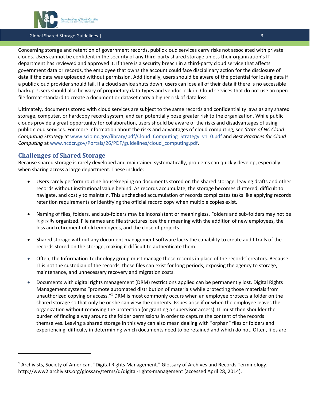

Concerning storage and retention of government records, public cloud services carry risks not associated with private clouds. Users cannot be confident in the security of any third‐party shared storage unless their organization's IT department has reviewed and approved it. If there is a security breach in a third-party cloud service that affects government data or records, the employee that owns the account could face disciplinary action for the disclosure of data if the data was uploaded without permission. Additionally, users should be aware of the potential for losing data if a public cloud provider should fail. If a cloud service shuts down, users can lose all of their data if there is no accessible backup. Users should also be wary of proprietary data‐types and vendor lock‐in. Cloud services that do not use an open file format standard to create a document or dataset carry a higher risk of data loss.

Ultimately, documents stored with cloud services are subject to the same records and confidentiality laws as any shared storage, computer, or hardcopy record system, and can potentially pose greater risk to the organization. While public clouds provide a great opportunity for collaboration, users should be aware of the risks and disadvantages of using public cloud services. For more information about the risks and advantages of cloud computing, see *State of NC Cloud Computing Strategy* at www.scio.nc.gov/library/pdf/Cloud\_Computing\_Strategy\_v1\_0.pdf and *Best Practices for Cloud Computing* at www.ncdcr.gov/Portals/26/PDF/guidelines/cloud\_computing.pdf.

## **Challenges of Shared Storage**

Because shared storage is rarely developed and maintained systematically, problems can quickly develop, especially when sharing across a large department. These include:

- Users rarely perform routine housekeeping on documents stored on the shared storage, leaving drafts and other records without institutional value behind. As records accumulate, the storage becomes cluttered, difficult to navigate, and costly to maintain. This unchecked accumulation of records complicates tasks like applying records retention requirements or identifying the official record copy when multiple copies exist.
- Naming of files, folders, and sub-folders may be inconsistent or meaningless. Folders and sub-folders may not be logically organized. File names and file structures lose their meaning with the addition of new employees, the loss and retirement of old employees, and the close of projects.
- Shared storage without any document management software lacks the capability to create audit trails of the records stored on the storage, making it difficult to authenticate them.
- Often, the Information Technology group must manage these records in place of the records' creators. Because IT is not the custodian of the records, these files can exist for long periods, exposing the agency to storage, maintenance, and unnecessary recovery and migration costs.
- Documents with digital rights management (DRM) restrictions applied can be permanently lost. Digital Rights Management systems "promote automated distribution of materials while protecting those materials from unauthorized copying or access."1 DRM is most commonly occurs when an employee protects a folder on the shared storage so that only he or she can view the contents. Issues arise if or when the employee leaves the organization without removing the protection (or granting a supervisor access). IT must then shoulder the burden of finding a way around the folder permissions in order to capture the content of the records themselves. Leaving a shared storage in this way can also mean dealing with "orphan" files or folders and experiencing difficulty in determining which documents need to be retained and which do not. Often, files are

<sup>1</sup> Archivists, Society of American. "Digital Rights Management." Glossary of Archives and Records Terminology. http://www2.archivists.org/glossary/terms/d/digital‐rights‐management (accessed April 28, 2014).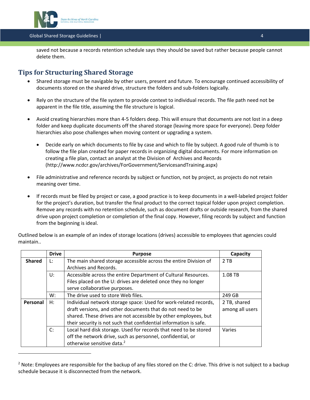

saved not because a records retention schedule says they should be saved but rather because people cannot delete them.

## **Tips for Structuring Shared Storage**

- Shared storage must be navigable by other users, present and future. To encourage continued accessibility of documents stored on the shared drive, structure the folders and sub‐folders logically.
- Rely on the structure of the file system to provide context to individual records. The file path need not be apparent in the file title, assuming the file structure is logical.
- Avoid creating hierarchies more than 4‐5 folders deep. This will ensure that documents are not lost in a deep folder and keep duplicate documents off the shared storage (leaving more space for everyone). Deep folder hierarchies also pose challenges when moving content or upgrading a system.
	- Decide early on which documents to file by case and which to file by subject. A good rule of thumb is to follow the file plan created for paper records in organizing digital documents. For more information on creating a file plan, contact an analyst at the Division of Archives and Records (http://www.ncdcr.gov/archives/ForGovernment/ServicesandTraining.aspx)
- File administrative and reference records by subject or function, not by project, as projects do not retain meaning over time.
- If records must be filed by project or case, a good practice is to keep documents in a well‐labeled project folder for the project's duration, but transfer the final product to the correct topical folder upon project completion. Remove any records with no retention schedule, such as document drafts or outside research, from the shared drive upon project completion or completion of the final copy. However, filing records by subject and function from the beginning is ideal.

|                | <b>Drive</b>                                                           | <b>Purpose</b>                                                    | Capacity        |
|----------------|------------------------------------------------------------------------|-------------------------------------------------------------------|-----------------|
| <b>Shared</b>  | The main shared storage accessible across the entire Division of<br>Ŀ. |                                                                   | 2TB             |
|                | Archives and Records.                                                  |                                                                   |                 |
|                | U:                                                                     | Accessible across the entire Department of Cultural Resources.    | 1.08 TB         |
|                |                                                                        | Files placed on the U: drives are deleted once they no longer     |                 |
|                |                                                                        | serve collaborative purposes.                                     |                 |
|                | W:                                                                     | The drive used to store Web files.                                | 249 GB          |
| Н:<br>Personal |                                                                        | Individual network storage space: Used for work-related records,  | 2 TB, shared    |
|                |                                                                        | draft versions, and other documents that do not need to be        | among all users |
|                |                                                                        | shared. These drives are not accessible by other employees, but   |                 |
|                |                                                                        | their security is not such that confidential information is safe. |                 |
|                | C:                                                                     | Local hard disk storage. Used for records that need to be stored  | Varies          |
|                |                                                                        | off the network drive, such as personnel, confidential, or        |                 |
|                |                                                                        | otherwise sensitive data. <sup>2</sup>                            |                 |

Outlined below is an example of an index of storage locations (drives) accessible to employees that agencies could maintain..

 $2$  Note: Employees are responsible for the backup of any files stored on the C: drive. This drive is not subject to a backup schedule because it is disconnected from the network.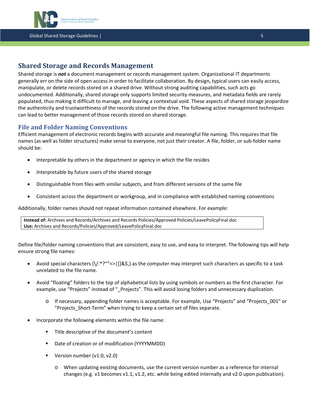

## **Shared Storage and Records Management**

Shared storage is *not* a document management or records management system. Organizational IT departments generally err on the side of open access in order to facilitate collaboration. By design, typical users can easily access, manipulate, or delete records stored on a shared drive. Without strong auditing capabilities, such acts go undocumented. Additionally, shared storage only supports limited security measures, and metadata fields are rarely populated, thus making it difficult to manage, and leaving a contextual void. These aspects of shared storage jeopardize the authenticity and trustworthiness of the records stored on the drive. The following active management techniques can lead to better management of those records stored on shared storage.

#### **File and Folder Naming Conventions**

Efficient management of electronic records begins with accurate and meaningful file naming. This requires that file names (as well as folder structures) make sense to everyone, not just their creator. A file, folder, or sub‐folder name should be:

- Interpretable by others in the department or agency in which the file resides
- Interpretable by future users of the shared storage
- Distinguishable from files with similar subjects, and from different versions of the same file
- Consistent across the department or workgroup, and in compliance with established naming conventions

Additionally, folder names should not repeat information contained elsewhere. For example:

**Instead of:** Archives and Records/Archives and Records Policies/Approved Policies/LeavePolicyFinal.doc **Use:** Archives and Records/Policies/Approved/LeavePolicyFinal.doc

Define file/folder naming conventions that are consistent, easy to use, and easy to interpret. The following tips will help ensure strong file names:

- Avoid special characters (\/:\*?""<>|[]&\$,) as the computer may interpret such characters as specific to a task unrelated to the file name.
- Avoid "floating" folders to the top of alphabetical lists by using symbols or numbers as the first character. For example, use "Projects" instead of "\_Projects". This will avoid losing folders and unnecessary duplication.
	- o If necessary, appending folder names is acceptable. For example, Use "Projects" and "Projects\_001" or "Projects\_Short‐Term" when trying to keep a certain set of files separate.
- Incorporate the following elements within the file name:
	- **Title descriptive of the document's content**
	- Date of creation or of modification (YYYYMMDD)
	- Version number (v1.0, v2.0)
		- o When updating existing documents, use the current version number as a reference for internal changes (e.g. v1 becomes v1.1, v1.2, etc. while being edited internally and v2.0 upon publication).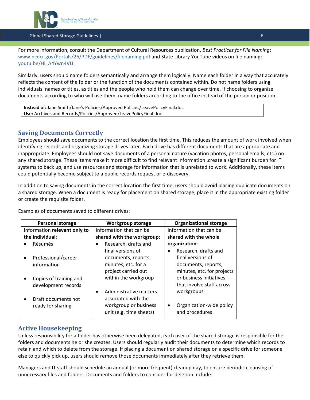

For more information, consult the Department of Cultural Resources publication, *Best Practices for File Naming*: www.ncdcr.gov/Portals/26/PDF/guidelines/filenaming.pdf and State Library YouTube videos on file naming: youtu.be/Hi\_A4Ywn4VU.

Similarly, users should name folders semantically and arrange them logically. Name each folder in a way that accurately reflects the content of the folder or the function of the documents contained within. Do not name folders using individuals' names or titles, as titles and the people who hold them can change over time. If choosing to organize documents according to who will use them, name folders according to the office instead of the person or position.

**Instead of:** Jane Smith/Jane's Policies/Approved Policies/LeavePolicyFinal.doc **Use:** Archives and Records/Policies/Approved/LeavePolicyFinal.doc

## **Saving Documents Correctly**

Employees should save documents to the correct location the first time. This reduces the amount of work involved when identifying records and organizing storage drives later. Each drive has different documents that are appropriate and inappropriate. Employees should not save documents of a personal nature (vacation photos, personal emails, etc.) on any shared storage. These items make it more difficult to find relevant information ,create a significant burden for IT systems to back up, and use resources and storage for information that is unrelated to work. Additionally, these items could potentially become subject to a public records request or e‐discovery.

In addition to saving documents in the correct location the first time, users should avoid placing duplicate documents on a shared storage. When a document is ready for placement on shared storage, place it in the appropriate existing folder or create the requisite folder.

Examples of documents saved to different drives:

| <b>Personal storage</b>          | <b>Workgroup storage</b>            | <b>Organizational storage</b> |  |
|----------------------------------|-------------------------------------|-------------------------------|--|
| Information relevant only to     | Information that can be             | Information that can be       |  |
| the individual:                  | shared with the workgroup:          | shared with the whole         |  |
| Résumés                          | Research, drafts and<br>$\bullet$   | organization:                 |  |
|                                  | final versions of                   | Research, drafts and<br>٠     |  |
| Professional/career<br>$\bullet$ | documents, reports,                 | final versions of             |  |
| information                      | minutes, etc. for a                 | documents, reports,           |  |
|                                  | project carried out                 | minutes, etc. for projects    |  |
| Copies of training and           | within the workgroup                | or business initiatives       |  |
| development records              |                                     | that involve staff across     |  |
|                                  | Administrative matters<br>$\bullet$ | workgroups                    |  |
| Draft documents not<br>$\bullet$ | associated with the                 |                               |  |
| ready for sharing                | workgroup or business               | Organization-wide policy      |  |
|                                  | unit (e.g. time sheets)             | and procedures                |  |

## **Active Housekeeping**

Unless responsibility for a folder has otherwise been delegated, each user of the shared storage is responsible for the folders and documents he or she creates. Users should regularly audit their documents to determine which records to retain and which to delete from the storage. If placing a document on shared storage on a specific drive for someone else to quickly pick up, users should remove those documents immediately after they retrieve them.

Managers and IT staff should schedule an annual (or more frequent) cleanup day, to ensure periodic cleansing of unnecessary files and folders. Documents and folders to consider for deletion include: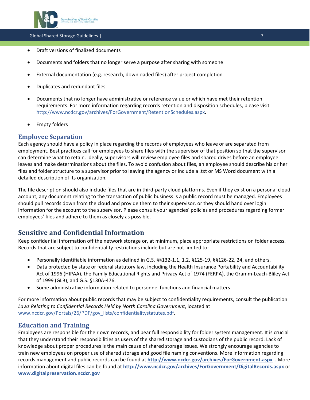

- Draft versions of finalized documents
- Documents and folders that no longer serve a purpose after sharing with someone
- External documentation (e.g. research, downloaded files) after project completion
- Duplicates and redundant files
- Documents that no longer have administrative or reference value or which have met their retention requirements. For more information regarding records retention and disposition schedules, please visit http://www.ncdcr.gov/archives/ForGovernment/RetentionSchedules.aspx.
- Empty folders

## **Employee Separation**

Each agency should have a policy in place regarding the records of employees who leave or are separated from employment. Best practices call for employees to share files with the supervisor of that position so that the supervisor can determine what to retain. Ideally, supervisors will review employee files and shared drives before an employee leaves and make determinations about the files. To avoid confusion about files, an employee should describe his or her files and folder structure to a supervisor prior to leaving the agency or include a .txt or MS Word document with a detailed description of its organization.

The file description should also include files that are in third‐party cloud platforms. Even if they exist on a personal cloud account, any document relating to the transaction of public business is a public record must be managed. Employees should pull records down from the cloud and provide them to their supervisor, or they should hand over login information for the account to the supervisor. Please consult your agencies' policies and procedures regarding former employees' files and adhere to them as closely as possible.

# **Sensitive and Confidential Information**

Keep confidential information off the network storage or, at minimum, place appropriate restrictions on folder access. Records that are subject to confidentiality restrictions include but are not limited to:

- Personally identifiable information as defined in G.S. §§132-1.1, 1.2, §125-19, §§126-22, 24, and others.
- Data protected by state or federal statutory law, including the Health Insurance Portability and Accountability Act of 1996 (HIPAA), the Family Educational Rights and Privacy Act of 1974 (FERPA), the Gramm‐Leach‐Bliley Act of 1999 (GLB), and G.S. §130A‐476.
- Some administrative information related to personnel functions and financial matters

For more information about public records that may be subject to confidentiality requirements, consult the publication *Laws Relating to Confidential Records Held by North Carolina Government*, located at www.ncdcr.gov/Portals/26/PDF/gov\_lists/confidentialitystatutes.pdf.

## **Education and Training**

Employees are responsible for their own records, and bear full responsibility for folder system management. It is crucial that they understand their responsibilities as users of the shared storage and custodians of the public record. Lack of knowledge about proper procedures is the main cause of shared storage issues. We strongly encourage agencies to train new employees on proper use of shared storage and good file naming conventions. More information regarding records management and public records can be found at **http://www.ncdcr.gov/archives/ForGovernment.aspx** . More information about digital files can be found at **http://www.ncdcr.gov/archives/ForGovernment/DigitalRecords.aspx** or **www.digitalpreservation.ncdcr.gov**